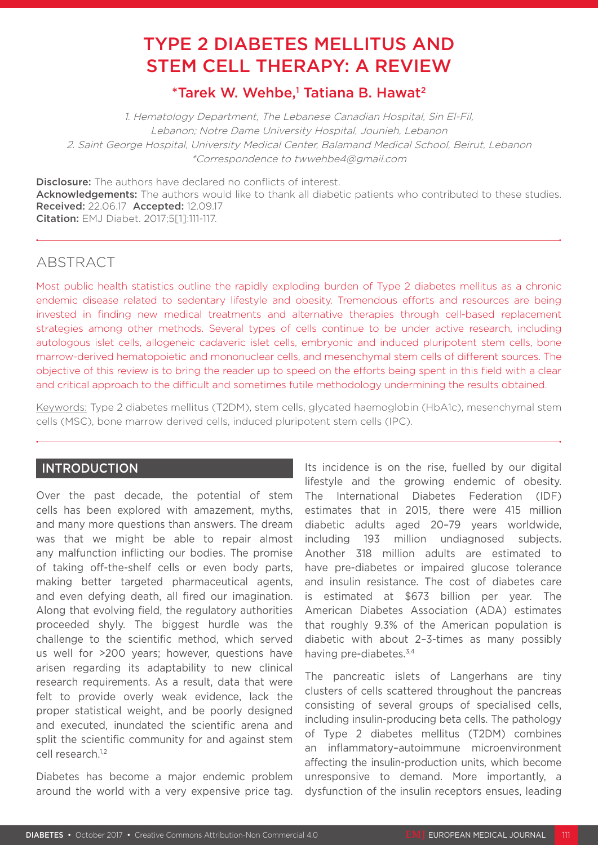# TYPE 2 DIABETES MELLITUS AND STEM CELL THERAPY: A REVIEW

# \*Tarek W. Wehbe,<sup>1</sup> Tatiana B. Hawat<sup>2</sup>

1. Hematology Department, The Lebanese Canadian Hospital, Sin El-Fil, Lebanon; Notre Dame University Hospital, Jounieh, Lebanon 2. Saint George Hospital, University Medical Center, Balamand Medical School, Beirut, Lebanon \*Correspondence to twwehbe4@gmail.com

**Disclosure:** The authors have declared no conflicts of interest. Acknowledgements: The authors would like to thank all diabetic patients who contributed to these studies. Received: 22.06.17 Accepted: 12.09.17 Citation: EMJ Diabet. 2017;5[1]:111-117.

# **ABSTRACT**

Most public health statistics outline the rapidly exploding burden of Type 2 diabetes mellitus as a chronic endemic disease related to sedentary lifestyle and obesity. Tremendous efforts and resources are being invested in finding new medical treatments and alternative therapies through cell-based replacement strategies among other methods. Several types of cells continue to be under active research, including autologous islet cells, allogeneic cadaveric islet cells, embryonic and induced pluripotent stem cells, bone marrow-derived hematopoietic and mononuclear cells, and mesenchymal stem cells of different sources. The objective of this review is to bring the reader up to speed on the efforts being spent in this field with a clear and critical approach to the difficult and sometimes futile methodology undermining the results obtained.

Keywords: Type 2 diabetes mellitus (T2DM), stem cells, glycated haemoglobin (HbA1c), mesenchymal stem cells (MSC), bone marrow derived cells, induced pluripotent stem cells (IPC).

# INTRODUCTION

Over the past decade, the potential of stem cells has been explored with amazement, myths, and many more questions than answers. The dream was that we might be able to repair almost any malfunction inflicting our bodies. The promise of taking off-the-shelf cells or even body parts, making better targeted pharmaceutical agents, and even defying death, all fired our imagination. Along that evolving field, the regulatory authorities proceeded shyly. The biggest hurdle was the challenge to the scientific method, which served us well for >200 years; however, questions have arisen regarding its adaptability to new clinical research requirements. As a result, data that were felt to provide overly weak evidence, lack the proper statistical weight, and be poorly designed and executed, inundated the scientific arena and split the scientific community for and against stem cell research.<sup>1,2</sup>

Diabetes has become a major endemic problem around the world with a very expensive price tag.

Its incidence is on the rise, fuelled by our digital lifestyle and the growing endemic of obesity. The International Diabetes Federation (IDF) estimates that in 2015, there were 415 million diabetic adults aged 20–79 years worldwide, including 193 million undiagnosed subjects. Another 318 million adults are estimated to have pre-diabetes or impaired glucose tolerance and insulin resistance. The cost of diabetes care is estimated at \$673 billion per year. The American Diabetes Association (ADA) estimates that roughly 9.3% of the American population is diabetic with about 2–3-times as many possibly having pre-diabetes.<sup>3,4</sup>

The pancreatic islets of Langerhans are tiny clusters of cells scattered throughout the pancreas consisting of several groups of specialised cells, including insulin-producing beta cells. The pathology of Type 2 diabetes mellitus (T2DM) combines an inflammatory–autoimmune microenvironment affecting the insulin-production units, which become unresponsive to demand. More importantly, a dysfunction of the insulin receptors ensues, leading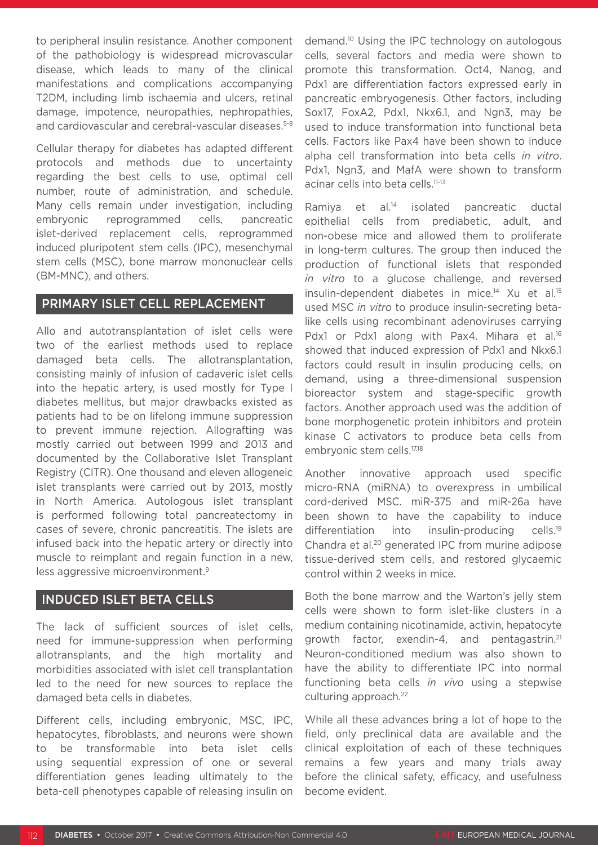to peripheral insulin resistance. Another component of the pathobiology is widespread microvascular disease, which leads to many of the clinical manifestations and complications accompanying T2DM, including limb ischaemia and ulcers, retinal damage, impotence, neuropathies, nephropathies, and cardiovascular and cerebral-vascular diseases.<sup>5-8</sup>

Cellular therapy for diabetes has adapted different protocols and methods due to uncertainty regarding the best cells to use, optimal cell number, route of administration, and schedule. Many cells remain under investigation, including embryonic reprogrammed cells, pancreatic islet-derived replacement cells, reprogrammed induced pluripotent stem cells (IPC), mesenchymal stem cells (MSC), bone marrow mononuclear cells (BM-MNC), and others.

# PRIMARY ISLET CELL REPLACEMENT

Allo and autotransplantation of islet cells were two of the earliest methods used to replace damaged beta cells. The allotransplantation, consisting mainly of infusion of cadaveric islet cells into the hepatic artery, is used mostly for Type I diabetes mellitus, but major drawbacks existed as patients had to be on lifelong immune suppression to prevent immune rejection. Allografting was mostly carried out between 1999 and 2013 and documented by the Collaborative Islet Transplant Registry (CITR). One thousand and eleven allogeneic islet transplants were carried out by 2013, mostly in North America. Autologous islet transplant is performed following total pancreatectomy in cases of severe, chronic pancreatitis. The islets are infused back into the hepatic artery or directly into muscle to reimplant and regain function in a new, less aggressive microenvironment.9

# INDUCED ISLET BETA CELLS

The lack of sufficient sources of islet cells, need for immune-suppression when performing allotransplants, and the high mortality and morbidities associated with islet cell transplantation led to the need for new sources to replace the damaged beta cells in diabetes.

Different cells, including embryonic, MSC, IPC, hepatocytes, fibroblasts, and neurons were shown to be transformable into beta islet cells using sequential expression of one or several differentiation genes leading ultimately to the beta-cell phenotypes capable of releasing insulin on demand.10 Using the IPC technology on autologous cells, several factors and media were shown to promote this transformation. Oct4, Nanog, and Pdx1 are differentiation factors expressed early in pancreatic embryogenesis. Other factors, including Sox17, FoxA2, Pdx1, Nkx6.1, and Ngn3, may be used to induce transformation into functional beta cells. Factors like Pax4 have been shown to induce alpha cell transformation into beta cells *in vitro*. Pdx1, Ngn3, and MafA were shown to transform acinar cells into beta cells.<sup>11-13</sup>

Ramiya et al.14 isolated pancreatic ductal epithelial cells from prediabetic, adult, and non-obese mice and allowed them to proliferate in long-term cultures. The group then induced the production of functional islets that responded *in vitro* to a glucose challenge, and reversed insulin-dependent diabetes in mice.<sup>14</sup> Xu et al.<sup>15</sup> used MSC *in vitro* to produce insulin-secreting betalike cells using recombinant adenoviruses carrying Pdx1 or Pdx1 along with Pax4. Mihara et al.<sup>16</sup> showed that induced expression of Pdx1 and Nkx6.1 factors could result in insulin producing cells, on demand, using a three-dimensional suspension bioreactor system and stage-specific growth factors. Another approach used was the addition of bone morphogenetic protein inhibitors and protein kinase C activators to produce beta cells from embryonic stem cells.17,18

Another innovative approach used specific micro-RNA (miRNA) to overexpress in umbilical cord-derived MSC. miR-375 and miR-26a have been shown to have the capability to induce differentiation into insulin-producing cells.<sup>19</sup> Chandra et al.20 generated IPC from murine adipose tissue-derived stem cells, and restored glycaemic control within 2 weeks in mice.

Both the bone marrow and the Warton's jelly stem cells were shown to form islet-like clusters in a medium containing nicotinamide, activin, hepatocyte growth factor, exendin-4, and pentagastrin.21 Neuron-conditioned medium was also shown to have the ability to differentiate IPC into normal functioning beta cells *in vivo* using a stepwise culturing approach.<sup>22</sup>

While all these advances bring a lot of hope to the field, only preclinical data are available and the clinical exploitation of each of these techniques remains a few years and many trials away before the clinical safety, efficacy, and usefulness become evident.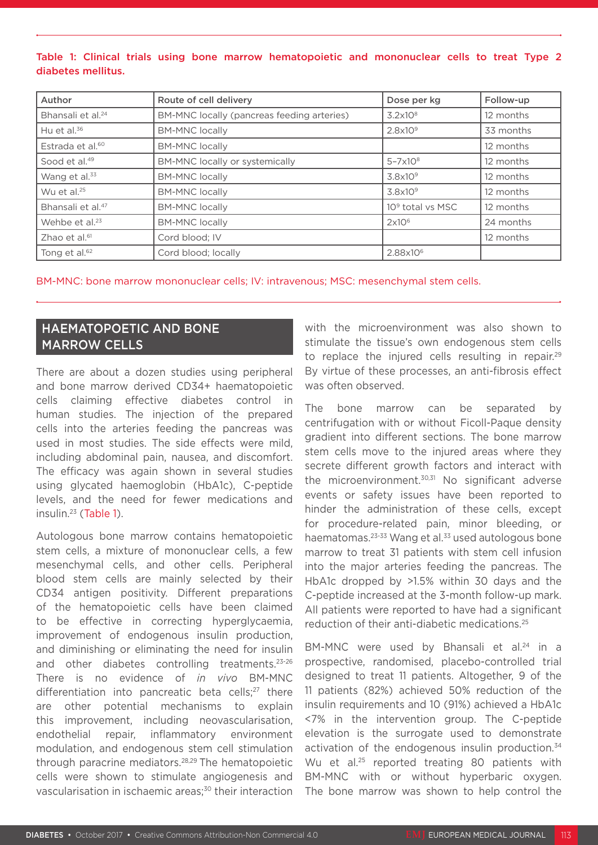### Table 1: Clinical trials using bone marrow hematopoietic and mononuclear cells to treat Type 2 diabetes mellitus.

| Author                        | Route of cell delivery                     | Dose per kg                  | Follow-up |
|-------------------------------|--------------------------------------------|------------------------------|-----------|
| Bhansali et al. <sup>24</sup> | BM-MNC locally (pancreas feeding arteries) | $3.2 \times 10^8$            | 12 months |
| Hu et al. $36$                | <b>BM-MNC locally</b>                      | $2.8\times10^9$              | 33 months |
| Estrada et al. <sup>60</sup>  | <b>BM-MNC locally</b>                      |                              | 12 months |
| Sood et al. <sup>49</sup>     | BM-MNC locally or systemically             | $5 - 7 \times 10^8$          | 12 months |
| Wang et al. <sup>33</sup>     | <b>BM-MNC locally</b>                      | $3.8\times10^9$              | 12 months |
| Wu et al. $25$                | <b>BM-MNC locally</b>                      | $3.8\times10^9$              | 12 months |
| Bhansali et al. <sup>47</sup> | <b>BM-MNC locally</b>                      | 10 <sup>9</sup> total vs MSC | 12 months |
| Wehbe et al. <sup>23</sup>    | <b>BM-MNC locally</b>                      | 2x10 <sup>6</sup>            | 24 months |
| Zhao et al. <sup>61</sup>     | Cord blood; IV                             |                              | 12 months |
| Tong et al. <sup>62</sup>     | Cord blood; locally                        | 2.88x10 <sup>6</sup>         |           |

BM-MNC: bone marrow mononuclear cells; IV: intravenous; MSC: mesenchymal stem cells.

# HAEMATOPOETIC AND BONE MARROW CELLS

There are about a dozen studies using peripheral and bone marrow derived CD34+ haematopoietic cells claiming effective diabetes control in human studies. The injection of the prepared cells into the arteries feeding the pancreas was used in most studies. The side effects were mild, including abdominal pain, nausea, and discomfort. The efficacy was again shown in several studies using glycated haemoglobin (HbA1c), C-peptide levels, and the need for fewer medications and insulin.23 (Table 1).

Autologous bone marrow contains hematopoietic stem cells, a mixture of mononuclear cells, a few mesenchymal cells, and other cells. Peripheral blood stem cells are mainly selected by their CD34 antigen positivity. Different preparations of the hematopoietic cells have been claimed to be effective in correcting hyperglycaemia, improvement of endogenous insulin production, and diminishing or eliminating the need for insulin and other diabetes controlling treatments.23-26 There is no evidence of *in vivo* BM-MNC differentiation into pancreatic beta cells;<sup>27</sup> there are other potential mechanisms to explain this improvement, including neovascularisation, endothelial repair, inflammatory environment modulation, and endogenous stem cell stimulation through paracrine mediators.28,29 The hematopoietic cells were shown to stimulate angiogenesis and vascularisation in ischaemic areas;30 their interaction with the microenvironment was also shown to stimulate the tissue's own endogenous stem cells to replace the injured cells resulting in repair.<sup>29</sup> By virtue of these processes, an anti-fibrosis effect was often observed.

The bone marrow can be separated by centrifugation with or without Ficoll-Paque density gradient into different sections. The bone marrow stem cells move to the injured areas where they secrete different growth factors and interact with the microenvironment.<sup>30,31</sup> No significant adverse events or safety issues have been reported to hinder the administration of these cells, except for procedure-related pain, minor bleeding, or haematomas.<sup>23-33</sup> Wang et al.<sup>33</sup> used autologous bone marrow to treat 31 patients with stem cell infusion into the major arteries feeding the pancreas. The HbA1c dropped by >1.5% within 30 days and the C-peptide increased at the 3-month follow-up mark. All patients were reported to have had a significant reduction of their anti-diabetic medications.25

BM-MNC were used by Bhansali et al.<sup>24</sup> in a prospective, randomised, placebo-controlled trial designed to treat 11 patients. Altogether, 9 of the 11 patients (82%) achieved 50% reduction of the insulin requirements and 10 (91%) achieved a HbA1c <7% in the intervention group. The C-peptide elevation is the surrogate used to demonstrate activation of the endogenous insulin production.<sup>34</sup> Wu et al.<sup>25</sup> reported treating 80 patients with BM-MNC with or without hyperbaric oxygen. The bone marrow was shown to help control the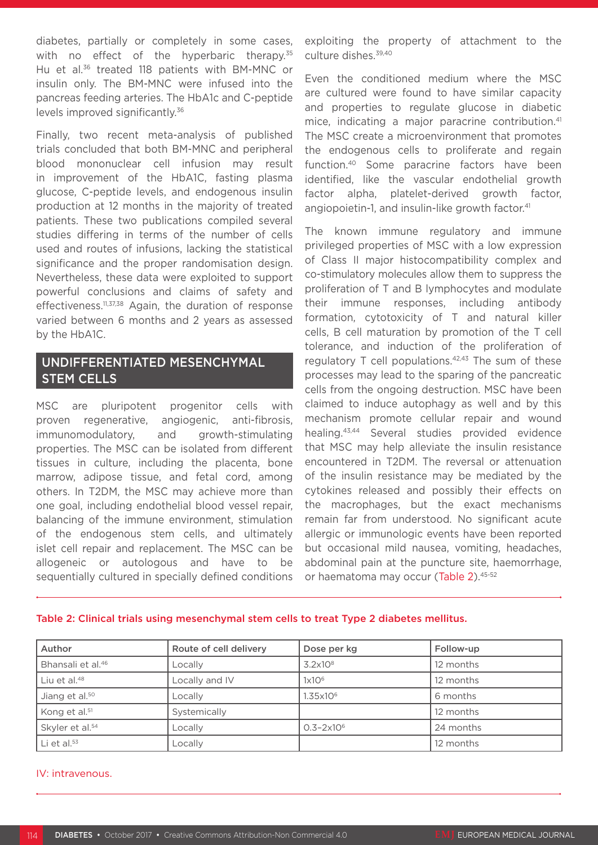diabetes, partially or completely in some cases, with no effect of the hyperbaric therapy.<sup>35</sup> Hu et al.<sup>36</sup> treated 118 patients with BM-MNC or insulin only. The BM-MNC were infused into the pancreas feeding arteries. The HbA1c and C-peptide levels improved significantly.36

Finally, two recent meta-analysis of published trials concluded that both BM-MNC and peripheral blood mononuclear cell infusion may result in improvement of the HbA1C, fasting plasma glucose, C-peptide levels, and endogenous insulin production at 12 months in the majority of treated patients. These two publications compiled several studies differing in terms of the number of cells used and routes of infusions, lacking the statistical significance and the proper randomisation design. Nevertheless, these data were exploited to support powerful conclusions and claims of safety and effectiveness.<sup>11,37,38</sup> Again, the duration of response varied between 6 months and 2 years as assessed by the HbA1C.

# UNDIFFERENTIATED MESENCHYMAL STEM CELLS

MSC are pluripotent progenitor cells with proven regenerative, angiogenic, anti-fibrosis, immunomodulatory, and growth-stimulating properties. The MSC can be isolated from different tissues in culture, including the placenta, bone marrow, adipose tissue, and fetal cord, among others. In T2DM, the MSC may achieve more than one goal, including endothelial blood vessel repair, balancing of the immune environment, stimulation of the endogenous stem cells, and ultimately islet cell repair and replacement. The MSC can be allogeneic or autologous and have to be sequentially cultured in specially defined conditions exploiting the property of attachment to the culture dishes.<sup>39,40</sup>

Even the conditioned medium where the MSC are cultured were found to have similar capacity and properties to regulate glucose in diabetic mice, indicating a major paracrine contribution.<sup>41</sup> The MSC create a microenvironment that promotes the endogenous cells to proliferate and regain function.40 Some paracrine factors have been identified, like the vascular endothelial growth factor alpha, platelet-derived growth factor, angiopoietin-1, and insulin-like growth factor.<sup>41</sup>

The known immune regulatory and immune privileged properties of MSC with a low expression of Class II major histocompatibility complex and co-stimulatory molecules allow them to suppress the proliferation of T and B lymphocytes and modulate their immune responses, including antibody formation, cytotoxicity of T and natural killer cells, B cell maturation by promotion of the T cell tolerance, and induction of the proliferation of regulatory  $T$  cell populations.<sup>42,43</sup> The sum of these processes may lead to the sparing of the pancreatic cells from the ongoing destruction. MSC have been claimed to induce autophagy as well and by this mechanism promote cellular repair and wound healing.43,44 Several studies provided evidence that MSC may help alleviate the insulin resistance encountered in T2DM. The reversal or attenuation of the insulin resistance may be mediated by the cytokines released and possibly their effects on the macrophages, but the exact mechanisms remain far from understood. No significant acute allergic or immunologic events have been reported but occasional mild nausea, vomiting, headaches, abdominal pain at the puncture site, haemorrhage, or haematoma may occur (Table 2).45-52

| Author                        | Route of cell delivery | Dose per kg           | Follow-up |
|-------------------------------|------------------------|-----------------------|-----------|
| Bhansali et al. <sup>46</sup> | Locally                | $3.2\times10^8$       | 12 months |
| Liu et al. $48$               | Locally and IV         | 1x10 <sup>6</sup>     | 12 months |
| Jiang et al. <sup>50</sup>    | Locally                | $1.35\times10^{6}$    | 6 months  |
| Kong et al. <sup>51</sup>     | Systemically           |                       | 12 months |
| Skyler et al. <sup>54</sup>   | Locally                | $0.3 - 2 \times 10^6$ | 24 months |
| Li et al. $53$                | Locally                |                       | 12 months |

#### Table 2: Clinical trials using mesenchymal stem cells to treat Type 2 diabetes mellitus.

#### IV: intravenous.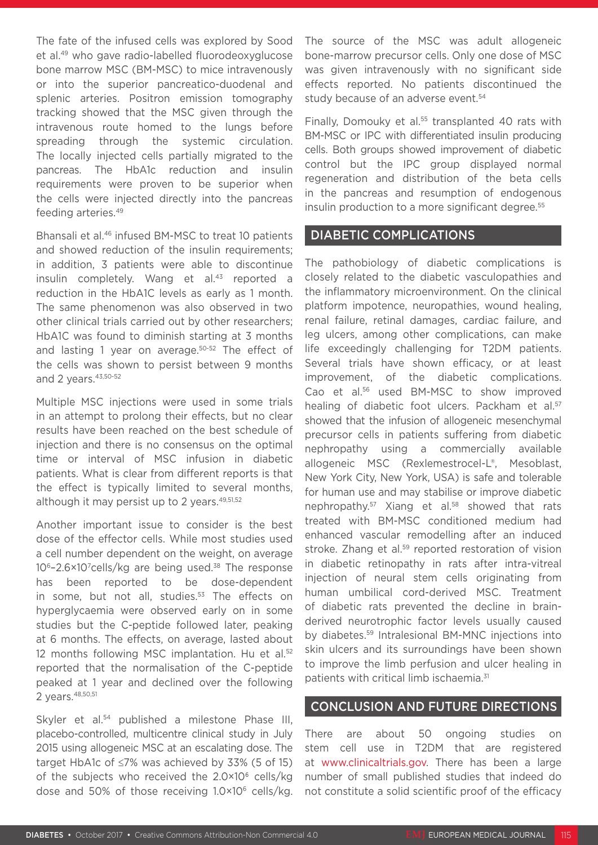The fate of the infused cells was explored by Sood et al.49 who gave radio-labelled fluorodeoxyglucose bone marrow MSC (BM-MSC) to mice intravenously or into the superior pancreatico-duodenal and splenic arteries. Positron emission tomography tracking showed that the MSC given through the intravenous route homed to the lungs before spreading through the systemic circulation. The locally injected cells partially migrated to the pancreas. The HbA1c reduction and insulin requirements were proven to be superior when the cells were injected directly into the pancreas feeding arteries.49

Bhansali et al.46 infused BM-MSC to treat 10 patients and showed reduction of the insulin requirements; in addition, 3 patients were able to discontinue insulin completely. Wang et al.<sup>43</sup> reported a reduction in the HbA1C levels as early as 1 month. The same phenomenon was also observed in two other clinical trials carried out by other researchers; HbA1C was found to diminish starting at 3 months and lasting 1 year on average.50-52 The effect of the cells was shown to persist between 9 months and 2 years. 43,50-52

Multiple MSC injections were used in some trials in an attempt to prolong their effects, but no clear results have been reached on the best schedule of injection and there is no consensus on the optimal time or interval of MSC infusion in diabetic patients. What is clear from different reports is that the effect is typically limited to several months, although it may persist up to 2 years.<sup>49,51,52</sup>

Another important issue to consider is the best dose of the effector cells. While most studies used a cell number dependent on the weight, on average 10<sup>6</sup>-2.6×10<sup>7</sup>cells/kg are being used.<sup>38</sup> The response has been reported to be dose-dependent in some, but not all, studies.<sup>53</sup> The effects on hyperglycaemia were observed early on in some studies but the C-peptide followed later, peaking at 6 months. The effects, on average, lasted about 12 months following MSC implantation. Hu et al.<sup>52</sup> reported that the normalisation of the C-peptide peaked at 1 year and declined over the following 2 years.48,50,51

Skyler et al.<sup>54</sup> published a milestone Phase III. placebo-controlled, multicentre clinical study in July 2015 using allogeneic MSC at an escalating dose. The target HbA1c of ≤7% was achieved by 33% (5 of 15) of the subjects who received the 2.0×106 cells/kg dose and 50% of those receiving  $1.0 \times 10^6$  cells/kg.

The source of the MSC was adult allogeneic bone-marrow precursor cells. Only one dose of MSC was given intravenously with no significant side effects reported. No patients discontinued the study because of an adverse event.<sup>54</sup>

Finally, Domouky et al.<sup>55</sup> transplanted 40 rats with BM-MSC or IPC with differentiated insulin producing cells. Both groups showed improvement of diabetic control but the IPC group displayed normal regeneration and distribution of the beta cells in the pancreas and resumption of endogenous insulin production to a more significant degree.<sup>55</sup>

## DIABETIC COMPLICATIONS

The pathobiology of diabetic complications is closely related to the diabetic vasculopathies and the inflammatory microenvironment. On the clinical platform impotence, neuropathies, wound healing, renal failure, retinal damages, cardiac failure, and leg ulcers, among other complications, can make life exceedingly challenging for T2DM patients. Several trials have shown efficacy, or at least improvement, of the diabetic complications. Cao et al.56 used BM-MSC to show improved healing of diabetic foot ulcers. Packham et al.<sup>57</sup> showed that the infusion of allogeneic mesenchymal precursor cells in patients suffering from diabetic nephropathy using a commercially available allogeneic MSC (Rexlemestrocel-L®, Mesoblast, New York City, New York, USA) is safe and tolerable for human use and may stabilise or improve diabetic nephropathy.<sup>57</sup> Xiang et al.<sup>58</sup> showed that rats treated with BM-MSC conditioned medium had enhanced vascular remodelling after an induced stroke. Zhang et al.<sup>59</sup> reported restoration of vision in diabetic retinopathy in rats after intra-vitreal injection of neural stem cells originating from human umbilical cord-derived MSC. Treatment of diabetic rats prevented the decline in brainderived neurotrophic factor levels usually caused by diabetes.59 Intralesional BM-MNC injections into skin ulcers and its surroundings have been shown to improve the limb perfusion and ulcer healing in patients with critical limb ischaemia.31

### CONCLUSION AND FUTURE DIRECTIONS

There are about 50 ongoing studies on stem cell use in T2DM that are registered at www.clinicaltrials.gov. There has been a large number of small published studies that indeed do not constitute a solid scientific proof of the efficacy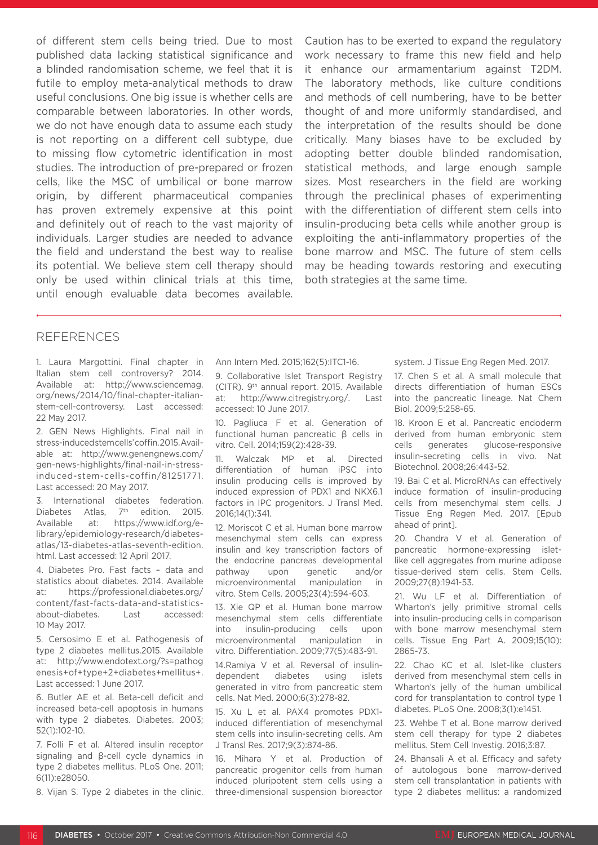of different stem cells being tried. Due to most published data lacking statistical significance and a blinded randomisation scheme, we feel that it is futile to employ meta-analytical methods to draw useful conclusions. One big issue is whether cells are comparable between laboratories. In other words, we do not have enough data to assume each study is not reporting on a different cell subtype, due to missing flow cytometric identification in most studies. The introduction of pre-prepared or frozen cells, like the MSC of umbilical or bone marrow origin, by different pharmaceutical companies has proven extremely expensive at this point and definitely out of reach to the vast majority of individuals. Larger studies are needed to advance the field and understand the best way to realise its potential. We believe stem cell therapy should only be used within clinical trials at this time, until enough evaluable data becomes available.

Caution has to be exerted to expand the regulatory work necessary to frame this new field and help it enhance our armamentarium against T2DM. The laboratory methods, like culture conditions and methods of cell numbering, have to be better thought of and more uniformly standardised, and the interpretation of the results should be done critically. Many biases have to be excluded by adopting better double blinded randomisation, statistical methods, and large enough sample sizes. Most researchers in the field are working through the preclinical phases of experimenting with the differentiation of different stem cells into insulin-producing beta cells while another group is exploiting the anti-inflammatory properties of the bone marrow and MSC. The future of stem cells may be heading towards restoring and executing both strategies at the same time.

### REFERENCES

1. Laura Margottini. Final chapter in Italian stem cell controversy? 2014. Available at: http://www.sciencemag. org/news/2014/10/final-chapter-italianstem-cell-controversy. Last accessed: 22 May 2017.

2. GEN News Highlights. Final nail in stress-induced stem cells' coffin. 2015. Available at: http://www.genengnews.com/ gen-news-highlights/final-nail-in-stressinduced-stem-cells-coffin/81251771. Last accessed: 20 May 2017.

International diabetes federation. Diabetes Atlas, 7<sup>th</sup> edition. 2015. Available at: https://www.idf.org/elibrary/epidemiology-research/diabetesatlas/13-diabetes-atlas-seventh-edition. html. Last accessed: 12 April 2017.

4. Diabetes Pro. Fast facts – data and statistics about diabetes. 2014. Available at: https://professional.diabetes.org/ content/fast-facts-data-and-statisticsabout-diabetes. Last accessed: 10 May 2017.

5. Cersosimo E et al. Pathogenesis of type 2 diabetes mellitus.2015. Available at: http://www.endotext.org/?s=pathog enesis+of+type+2+diabetes+mellitus+. Last accessed: 1 June 2017.

6. Butler AE et al. Beta-cell deficit and increased beta-cell apoptosis in humans with type 2 diabetes. Diabetes. 2003; 52(1):102-10.

7. Folli F et al. Altered insulin receptor signaling and β-cell cycle dynamics in type 2 diabetes mellitus. PLoS One. 2011; 6(11):e28050.

8. Vijan S. Type 2 diabetes in the clinic.

Ann Intern Med. 2015;162(5):ITC1-16.

9. Collaborative Islet Transport Registry (CITR). 9th annual report. 2015. Available at: http://www.citregistry.org/. Last accessed: 10 June 2017.

10. Pagliuca F et al. Generation of functional human pancreatic β cells in vitro. Cell. 2014;159(2):428-39.

11. Walczak MP et al. Directed differentiation of human iPSC into insulin producing cells is improved by induced expression of PDX1 and NKX6.1 factors in IPC progenitors. J Transl Med. 2016;14(1):341.

12. Moriscot C et al. Human bone marrow mesenchymal stem cells can express insulin and key transcription factors of the endocrine pancreas developmental pathway upon genetic and/or microenvironmental manipulation in vitro. Stem Cells. 2005;23(4):594-603.

13. Xie QP et al. Human bone marrow mesenchymal stem cells differentiate into insulin-producing cells upon microenvironmental manipulation in vitro. Differentiation. 2009;77(5):483-91.

14.Ramiya V et al. Reversal of insulindependent diabetes using islets generated in vitro from pancreatic stem cells. Nat Med. 2000;6(3):278-82.

15. Xu L et al. PAX4 promotes PDX1 induced differentiation of mesenchymal stem cells into insulin-secreting cells. Am J Transl Res. 2017;9(3):874-86.

16. Mihara Y et al. Production of pancreatic progenitor cells from human induced pluripotent stem cells using a three-dimensional suspension bioreactor system. J Tissue Eng Regen Med. 2017.

17. Chen S et al. A small molecule that directs differentiation of human ESCs into the pancreatic lineage. Nat Chem Biol. 2009;5:258-65.

18. Kroon E et al. Pancreatic endoderm derived from human embryonic stem cells generates glucose-responsive insulin-secreting cells in vivo. Nat Biotechnol. 2008;26:443-52.

19. Bai C et al. MicroRNAs can effectively induce formation of insulin-producing cells from mesenchymal stem cells. J Tissue Eng Regen Med. 2017. [Epub ahead of print].

20. Chandra V et al. Generation of pancreatic hormone-expressing isletlike cell aggregates from murine adipose tissue-derived stem cells. Stem Cells. 2009;27(8):1941-53.

21. Wu LF et al. Differentiation of Wharton's jelly primitive stromal cells into insulin-producing cells in comparison with bone marrow mesenchymal stem cells. Tissue Eng Part A. 2009;15(10): 2865-73.

22. Chao KC et al. Islet-like clusters derived from mesenchymal stem cells in Wharton's jelly of the human umbilical cord for transplantation to control type 1 diabetes. PLoS One. 2008;3(1):e1451.

23. Wehbe T et al. Bone marrow derived stem cell therapy for type 2 diabetes mellitus. Stem Cell Investig. 2016;3:87.

24. Bhansali A et al. Efficacy and safety of autologous bone marrow-derived stem cell transplantation in patients with type 2 diabetes mellitus: a randomized